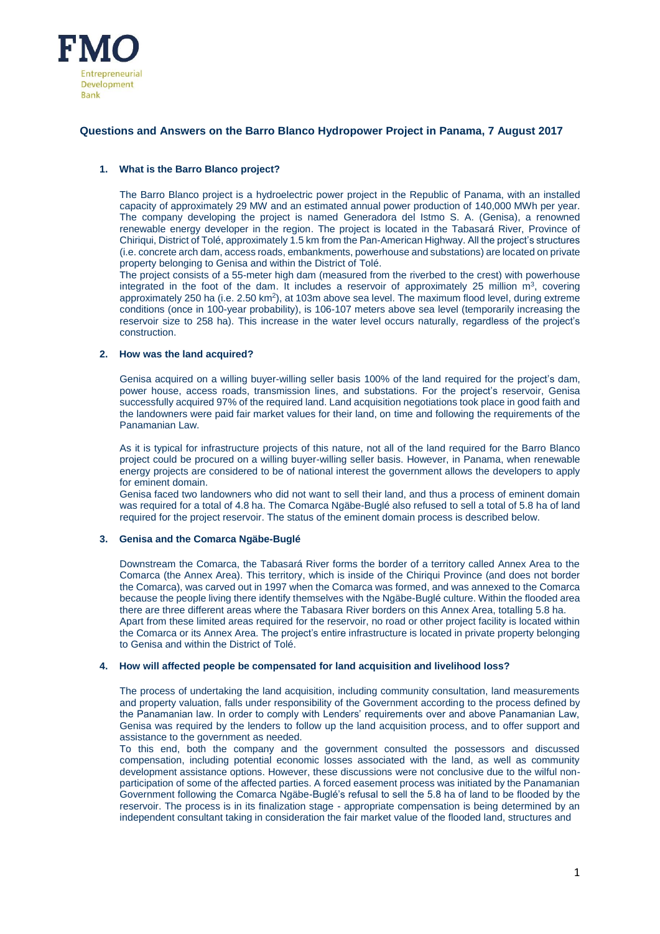

# **Questions and Answers on the Barro Blanco Hydropower Project in Panama, 7 August 2017**

# **1. What is the Barro Blanco project?**

The Barro Blanco project is a hydroelectric power project in the Republic of Panama, with an installed capacity of approximately 29 MW and an estimated annual power production of 140,000 MWh per year. The company developing the project is named Generadora del Istmo S. A. (Genisa), a renowned renewable energy developer in the region. The project is located in the Tabasará River, Province of Chiriqui, District of Tolé, approximately 1.5 km from the Pan-American Highway. All the project's structures (i.e. concrete arch dam, access roads, embankments, powerhouse and substations) are located on private property belonging to Genisa and within the District of Tolé.

The project consists of a 55-meter high dam (measured from the riverbed to the crest) with powerhouse integrated in the foot of the dam. It includes a reservoir of approximately 25 million  $m^3$ , covering approximately 250 ha (i.e. 2.50 km<sup>2</sup>), at 103m above sea level. The maximum flood level, during extreme conditions (once in 100-year probability), is 106-107 meters above sea level (temporarily increasing the reservoir size to 258 ha). This increase in the water level occurs naturally, regardless of the project's construction.

# **2. How was the land acquired?**

Genisa acquired on a willing buyer-willing seller basis 100% of the land required for the project's dam, power house, access roads, transmission lines, and substations. For the project's reservoir, Genisa successfully acquired 97% of the required land. Land acquisition negotiations took place in good faith and the landowners were paid fair market values for their land, on time and following the requirements of the Panamanian Law.

As it is typical for infrastructure projects of this nature, not all of the land required for the Barro Blanco project could be procured on a willing buyer-willing seller basis. However, in Panama, when renewable energy projects are considered to be of national interest the government allows the developers to apply for eminent domain.

Genisa faced two landowners who did not want to sell their land, and thus a process of eminent domain was required for a total of 4.8 ha. The Comarca Ngäbe-Buglé also refused to sell a total of 5.8 ha of land required for the project reservoir. The status of the eminent domain process is described below.

# **3. Genisa and the Comarca Ngäbe-Buglé**

Downstream the Comarca, the Tabasará River forms the border of a territory called Annex Area to the Comarca (the Annex Area). This territory, which is inside of the Chiriqui Province (and does not border the Comarca), was carved out in 1997 when the Comarca was formed, and was annexed to the Comarca because the people living there identify themselves with the Ngäbe-Buglé culture. Within the flooded area there are three different areas where the Tabasara River borders on this Annex Area, totalling 5.8 ha. Apart from these limited areas required for the reservoir, no road or other project facility is located within the Comarca or its Annex Area. The project's entire infrastructure is located in private property belonging to Genisa and within the District of Tolé.

## **4. How will affected people be compensated for land acquisition and livelihood loss?**

The process of undertaking the land acquisition, including community consultation, land measurements and property valuation, falls under responsibility of the Government according to the process defined by the Panamanian law. In order to comply with Lenders' requirements over and above Panamanian Law, Genisa was required by the lenders to follow up the land acquisition process, and to offer support and assistance to the government as needed.

To this end, both the company and the government consulted the possessors and discussed compensation, including potential economic losses associated with the land, as well as community development assistance options. However, these discussions were not conclusive due to the wilful nonparticipation of some of the affected parties. A forced easement process was initiated by the Panamanian Government following the Comarca Ngäbe-Buglé's refusal to sell the 5.8 ha of land to be flooded by the reservoir. The process is in its finalization stage - appropriate compensation is being determined by an independent consultant taking in consideration the fair market value of the flooded land, structures and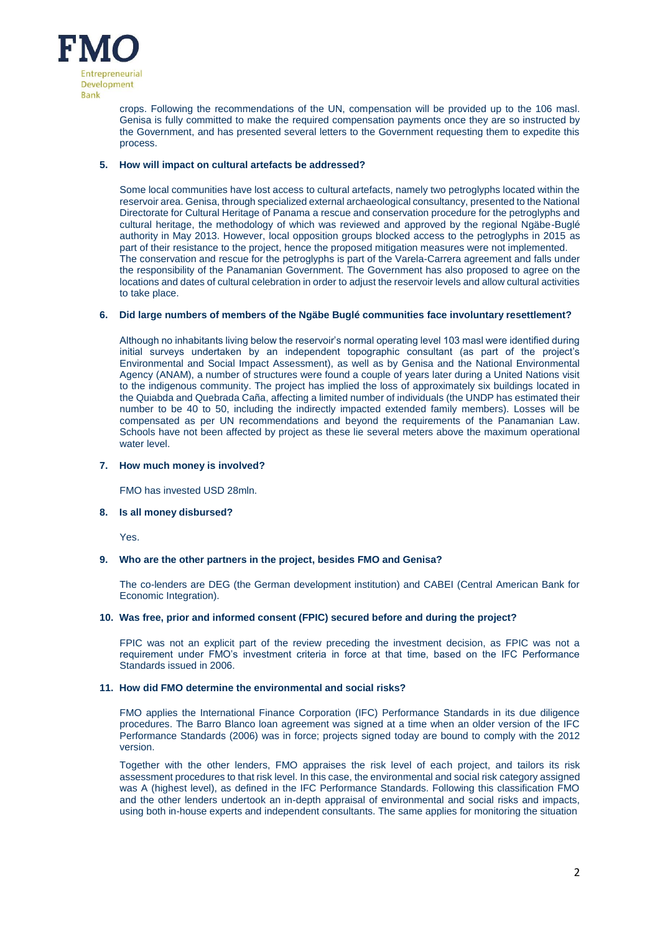

crops. Following the recommendations of the UN, compensation will be provided up to the 106 masl. Genisa is fully committed to make the required compensation payments once they are so instructed by the Government, and has presented several letters to the Government requesting them to expedite this process.

# **5. How will impact on cultural artefacts be addressed?**

Some local communities have lost access to cultural artefacts, namely two petroglyphs located within the reservoir area. Genisa, through specialized external archaeological consultancy, presented to the National Directorate for Cultural Heritage of Panama a rescue and conservation procedure for the petroglyphs and cultural heritage, the methodology of which was reviewed and approved by the regional Ngäbe-Buglé authority in May 2013. However, local opposition groups blocked access to the petroglyphs in 2015 as part of their resistance to the project, hence the proposed mitigation measures were not implemented. The conservation and rescue for the petroglyphs is part of the Varela-Carrera agreement and falls under the responsibility of the Panamanian Government. The Government has also proposed to agree on the locations and dates of cultural celebration in order to adjust the reservoir levels and allow cultural activities to take place.

## **6. Did large numbers of members of the Ngäbe Buglé communities face involuntary resettlement?**

Although no inhabitants living below the reservoir's normal operating level 103 masl were identified during initial surveys undertaken by an independent topographic consultant (as part of the project's Environmental and Social Impact Assessment), as well as by Genisa and the National Environmental Agency (ANAM), a number of structures were found a couple of years later during a United Nations visit to the indigenous community. The project has implied the loss of approximately six buildings located in the Quiabda and Quebrada Caña, affecting a limited number of individuals (the UNDP has estimated their number to be 40 to 50, including the indirectly impacted extended family members). Losses will be compensated as per UN recommendations and beyond the requirements of the Panamanian Law. Schools have not been affected by project as these lie several meters above the maximum operational water level.

## **7. How much money is involved?**

FMO has invested USD 28mln.

## **8. Is all money disbursed?**

Yes.

# **9. Who are the other partners in the project, besides FMO and Genisa?**

The co-lenders are DEG (the German development institution) and CABEI (Central American Bank for Economic Integration).

# **10. Was free, prior and informed consent (FPIC) secured before and during the project?**

FPIC was not an explicit part of the review preceding the investment decision, as FPIC was not a requirement under FMO's investment criteria in force at that time, based on the IFC Performance Standards issued in 2006.

## **11. How did FMO determine the environmental and social risks?**

FMO applies the International Finance Corporation (IFC) Performance Standards in its due diligence procedures. The Barro Blanco loan agreement was signed at a time when an older version of the IFC Performance Standards (2006) was in force; projects signed today are bound to comply with the 2012 version.

Together with the other lenders, FMO appraises the risk level of each project, and tailors its risk assessment procedures to that risk level. In this case, the environmental and social risk category assigned was A (highest level), as defined in the IFC Performance Standards. Following this classification FMO and the other lenders undertook an in-depth appraisal of environmental and social risks and impacts, using both in-house experts and independent consultants. The same applies for monitoring the situation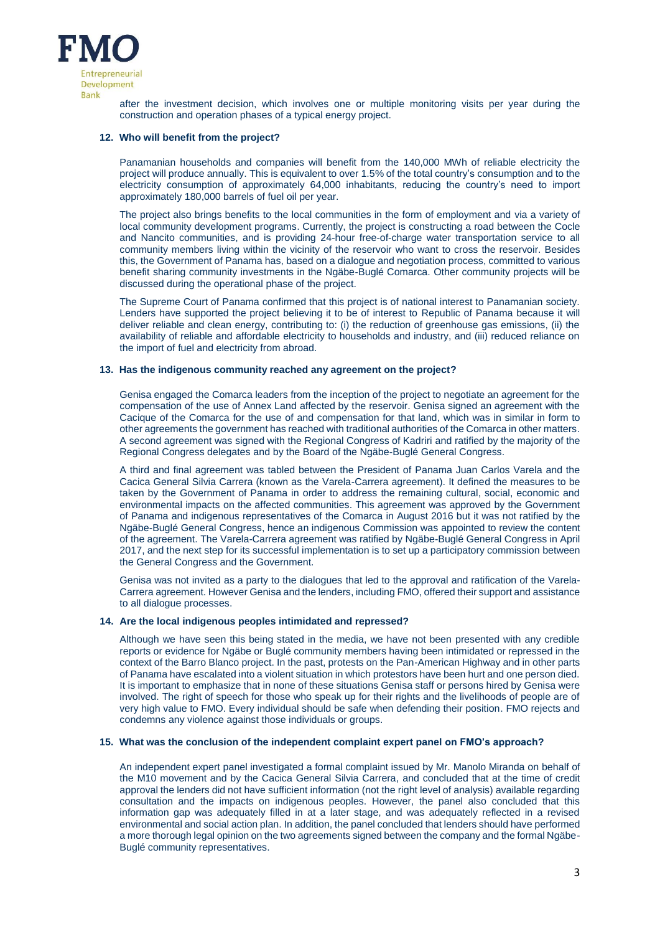

after the investment decision, which involves one or multiple monitoring visits per year during the construction and operation phases of a typical energy project.

### **12. Who will benefit from the project?**

Panamanian households and companies will benefit from the 140,000 MWh of reliable electricity the project will produce annually. This is equivalent to over 1.5% of the total country's consumption and to the electricity consumption of approximately 64,000 inhabitants, reducing the country's need to import approximately 180,000 barrels of fuel oil per year.

The project also brings benefits to the local communities in the form of employment and via a variety of local community development programs. Currently, the project is constructing a road between the Cocle and Nancito communities, and is providing 24-hour free-of-charge water transportation service to all community members living within the vicinity of the reservoir who want to cross the reservoir. Besides this, the Government of Panama has, based on a dialogue and negotiation process, committed to various benefit sharing community investments in the Ngäbe-Buglé Comarca. Other community projects will be discussed during the operational phase of the project.

The Supreme Court of Panama confirmed that this project is of national interest to Panamanian society. Lenders have supported the project believing it to be of interest to Republic of Panama because it will deliver reliable and clean energy, contributing to: (i) the reduction of greenhouse gas emissions, (ii) the availability of reliable and affordable electricity to households and industry, and (iii) reduced reliance on the import of fuel and electricity from abroad.

### **13. Has the indigenous community reached any agreement on the project?**

Genisa engaged the Comarca leaders from the inception of the project to negotiate an agreement for the compensation of the use of Annex Land affected by the reservoir. Genisa signed an agreement with the Cacique of the Comarca for the use of and compensation for that land, which was in similar in form to other agreements the government has reached with traditional authorities of the Comarca in other matters. A second agreement was signed with the Regional Congress of Kadriri and ratified by the majority of the Regional Congress delegates and by the Board of the Ngäbe-Buglé General Congress.

A third and final agreement was tabled between the President of Panama Juan Carlos Varela and the Cacica General Silvia Carrera (known as the Varela-Carrera agreement). It defined the measures to be taken by the Government of Panama in order to address the remaining cultural, social, economic and environmental impacts on the affected communities. This agreement was approved by the Government of Panama and indigenous representatives of the Comarca in August 2016 but it was not ratified by the Ngäbe-Buglé General Congress, hence an indigenous Commission was appointed to review the content of the agreement. The Varela-Carrera agreement was ratified by Ngäbe-Buglé General Congress in April 2017, and the next step for its successful implementation is to set up a participatory commission between the General Congress and the Government.

Genisa was not invited as a party to the dialogues that led to the approval and ratification of the Varela-Carrera agreement. However Genisa and the lenders, including FMO, offered their support and assistance to all dialogue processes.

#### **14. Are the local indigenous peoples intimidated and repressed?**

Although we have seen this being stated in the media, we have not been presented with any credible reports or evidence for Ngäbe or Buglé community members having been intimidated or repressed in the context of the Barro Blanco project. In the past, protests on the Pan-American Highway and in other parts of Panama have escalated into a violent situation in which protestors have been hurt and one person died. It is important to emphasize that in none of these situations Genisa staff or persons hired by Genisa were involved. The right of speech for those who speak up for their rights and the livelihoods of people are of very high value to FMO. Every individual should be safe when defending their position. FMO rejects and condemns any violence against those individuals or groups.

### **15. What was the conclusion of the independent complaint expert panel on FMO's approach?**

An independent expert panel investigated a formal complaint issued by Mr. Manolo Miranda on behalf of the M10 movement and by the Cacica General Silvia Carrera, and concluded that at the time of credit approval the lenders did not have sufficient information (not the right level of analysis) available regarding consultation and the impacts on indigenous peoples. However, the panel also concluded that this information gap was adequately filled in at a later stage, and was adequately reflected in a revised environmental and social action plan. In addition, the panel concluded that lenders should have performed a more thorough legal opinion on the two agreements signed between the company and the formal Ngäbe-Buglé community representatives.